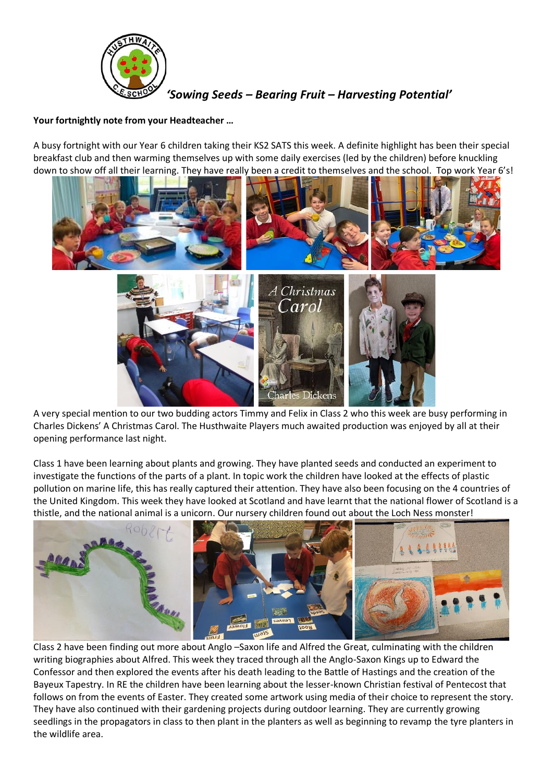

*'Sowing Seeds – Bearing Fruit – Harvesting Potential'*

# **Your fortnightly note from your Headteacher …**

A busy fortnight with our Year 6 children taking their KS2 SATS this week. A definite highlight has been their special breakfast club and then warming themselves up with some daily exercises (led by the children) before knuckling down to show off all their learning. They have really been a credit to themselves and the school. Top work Year 6's!



A very special mention to our two budding actors Timmy and Felix in Class 2 who this week are busy performing in Charles Dickens' A Christmas Carol. The Husthwaite Players much awaited production was enjoyed by all at their opening performance last night.

Class 1 have been learning about plants and growing. They have planted seeds and conducted an experiment to investigate the functions of the parts of a plant. In topic work the children have looked at the effects of plastic pollution on marine life, this has really captured their attention. They have also been focusing on the 4 countries of the United Kingdom. This week they have looked at Scotland and have learnt that the national flower of Scotland is a thistle, and the national animal is a unicorn. Our nursery children found out about the Loch Ness monster!



Class 2 have been finding out more about Anglo –Saxon life and Alfred the Great, culminating with the children writing biographies about Alfred. This week they traced through all the Anglo-Saxon Kings up to Edward the Confessor and then explored the events after his death leading to the Battle of Hastings and the creation of the Bayeux Tapestry. In RE the children have been learning about the lesser-known Christian festival of Pentecost that follows on from the events of Easter. They created some artwork using media of their choice to represent the story. They have also continued with their gardening projects during outdoor learning. They are currently growing seedlings in the propagators in class to then plant in the planters as well as beginning to revamp the tyre planters in the wildlife area.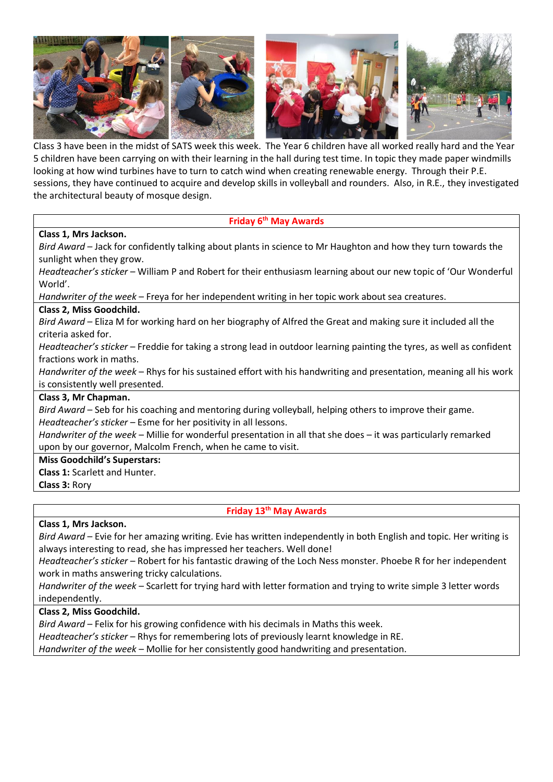

Class 3 have been in the midst of SATS week this week. The Year 6 children have all worked really hard and the Year 5 children have been carrying on with their learning in the hall during test time. In topic they made paper windmills looking at how wind turbines have to turn to catch wind when creating renewable energy. Through their P.E. sessions, they have continued to acquire and develop skills in volleyball and rounders. Also, in R.E., they investigated the architectural beauty of mosque design.

### **Friday 6th May Awards**

# **Class 1, Mrs Jackson.**

*Bird Award* – Jack for confidently talking about plants in science to Mr Haughton and how they turn towards the sunlight when they grow.

*Headteacher's sticker* – William P and Robert for their enthusiasm learning about our new topic of 'Our Wonderful World'.

*Handwriter of the week* – Freya for her independent writing in her topic work about sea creatures.

### **Class 2, Miss Goodchild.**

*Bird Award* – Eliza M for working hard on her biography of Alfred the Great and making sure it included all the criteria asked for.

*Headteacher's sticker* – Freddie for taking a strong lead in outdoor learning painting the tyres, as well as confident fractions work in maths.

*Handwriter of the week* – Rhys for his sustained effort with his handwriting and presentation, meaning all his work is consistently well presented.

# **Class 3, Mr Chapman.**

*Bird Award* – Seb for his coaching and mentoring during volleyball, helping others to improve their game. *Headteacher's sticker* – Esme for her positivity in all lessons.

*Handwriter of the week* – Millie for wonderful presentation in all that she does – it was particularly remarked upon by our governor, Malcolm French, when he came to visit.

#### **Miss Goodchild's Superstars:**

**Class 1:** Scarlett and Hunter.

**Class 3:** Rory

**Friday 13th May Awards**

#### **Class 1, Mrs Jackson.**

*Bird Award* – Evie for her amazing writing. Evie has written independently in both English and topic. Her writing is always interesting to read, she has impressed her teachers. Well done!

*Headteacher's sticker* – Robert for his fantastic drawing of the Loch Ness monster. Phoebe R for her independent work in maths answering tricky calculations.

*Handwriter of the week* – Scarlett for trying hard with letter formation and trying to write simple 3 letter words independently.

# **Class 2, Miss Goodchild.**

*Bird Award* – Felix for his growing confidence with his decimals in Maths this week.

*Headteacher's sticker* – Rhys for remembering lots of previously learnt knowledge in RE.

*Handwriter of the week* – Mollie for her consistently good handwriting and presentation.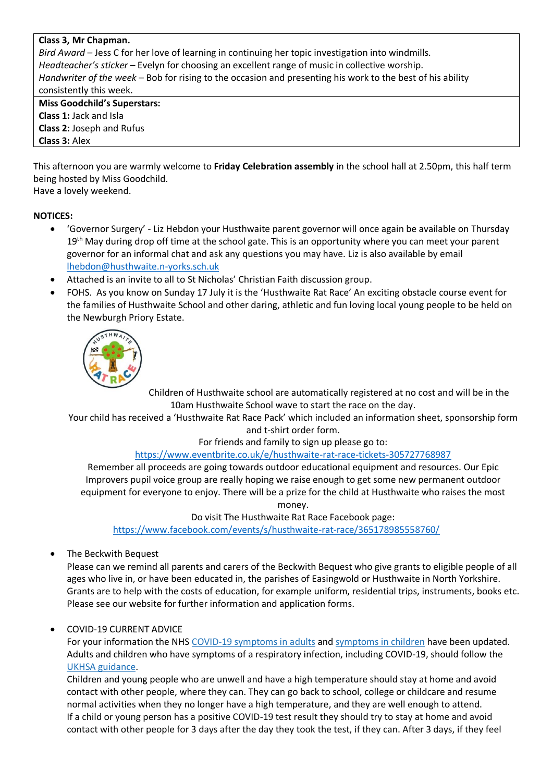#### **Class 3, Mr Chapman.**

*Bird Award* – Jess C for her love of learning in continuing her topic investigation into windmills. *Headteacher's sticker* – Evelyn for choosing an excellent range of music in collective worship. *Handwriter of the week* – Bob for rising to the occasion and presenting his work to the best of his ability consistently this week. **Miss Goodchild's Superstars:**

**Class 1:** Jack and Isla **Class 2:** Joseph and Rufus **Class 3:** Alex

This afternoon you are warmly welcome to **Friday Celebration assembly** in the school hall at 2.50pm, this half term being hosted by Miss Goodchild.

Have a lovely weekend.

### **NOTICES:**

- 'Governor Surgery' Liz Hebdon your Husthwaite parent governor will once again be available on Thursday 19<sup>th</sup> May during drop off time at the school gate. This is an opportunity where you can meet your parent governor for an informal chat and ask any questions you may have. Liz is also available by email [lhebdon@husthwaite.n-yorks.sch.uk](mailto:lhebdon@husthwaite.n-yorks.sch.uk)
- Attached is an invite to all to St Nicholas' Christian Faith discussion group.
- FOHS. As you know on Sunday 17 July it is the 'Husthwaite Rat Race' An exciting obstacle course event for the families of Husthwaite School and other daring, athletic and fun loving local young people to be held on the Newburgh Priory Estate.



Children of Husthwaite school are automatically registered at no cost and will be in the 10am Husthwaite School wave to start the race on the day.

Your child has received a 'Husthwaite Rat Race Pack' which included an information sheet, sponsorship form and t-shirt order form.

For friends and family to sign up please go to:

#### <https://www.eventbrite.co.uk/e/husthwaite-rat-race-tickets-305727768987>

Remember all proceeds are going towards outdoor educational equipment and resources. Our Epic Improvers pupil voice group are really hoping we raise enough to get some new permanent outdoor equipment for everyone to enjoy. There will be a prize for the child at Husthwaite who raises the most money.

Do visit The Husthwaite Rat Race Facebook page:

<https://www.facebook.com/events/s/husthwaite-rat-race/365178985558760/>

• The Beckwith Bequest

Please can we remind all parents and carers of the Beckwith Bequest who give grants to eligible people of all ages who live in, or have been educated in, the parishes of Easingwold or Husthwaite in North Yorkshire. Grants are to help with the costs of education, for example uniform, residential trips, instruments, books etc. Please see our website for further information and application forms.

# • COVID-19 CURRENT ADVICE

For your information the NHS [COVID-19 symptoms in adults](https://www.nhs.uk/conditions/coronavirus-covid-19/symptoms/main-symptoms/?utm_source=07%20April%202022%20C19&utm_medium=Daily%20Email%20C19&utm_campaign=DfE%20C19) and [symptoms in children](https://www.nhs.uk/conditions/coronavirus-covid-19/symptoms/coronavirus-in-children/?utm_source=07%20April%202022%20C19&utm_medium=Daily%20Email%20C19&utm_campaign=DfE%20C19) have been updated. Adults and children who have symptoms of a respiratory infection, including COVID-19, should follow the [UKHSA guidance.](https://www.gov.uk/guidance/people-with-symptoms-of-a-respiratory-infection-including-covid-19#symptoms-of-respiratory-infections-including-covid-19?utm_source=07%20April%202022%20C19&utm_medium=Daily%20Email%20C19&utm_campaign=DfE%20C19)

Children and young people who are unwell and have a high temperature should stay at home and avoid contact with other people, where they can. They can go back to school, college or childcare and resume normal activities when they no longer have a high temperature, and they are well enough to attend. If a child or young person has a positive COVID-19 test result they should try to stay at home and avoid contact with other people for 3 days after the day they took the test, if they can. After 3 days, if they feel